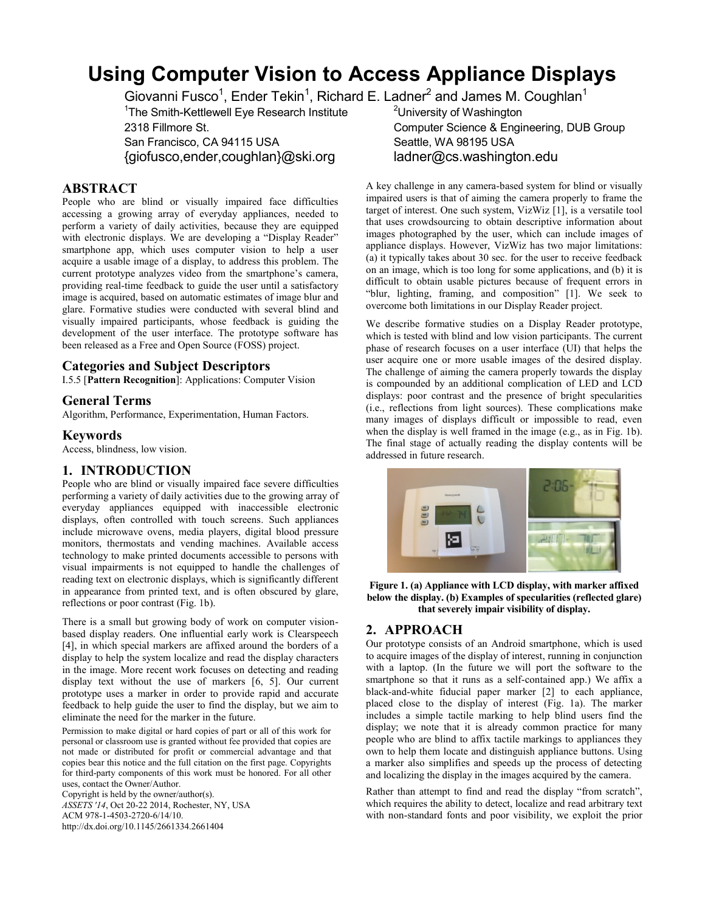# **Using Computer Vision to Access Appliance Displays**

Giovanni Fusco<sup>1</sup>, Ender Tekin<sup>1</sup>, Richard E. Ladner<sup>2</sup> and James M. Coughlan<sup>1</sup>

<sup>1</sup>The Smith-Kettlewell Eye Research Institute  $2^2$ University of Washington

{giofusco,ender,coughlan}@ski.org ladner@cs.washington.edu

## **ABSTRACT**

People who are blind or visually impaired face difficulties accessing a growing array of everyday appliances, needed to perform a variety of daily activities, because they are equipped with electronic displays. We are developing a "Display Reader" smartphone app, which uses computer vision to help a user acquire a usable image of a display, to address this problem. The current prototype analyzes video from the smartphone's camera, providing real-time feedback to guide the user until a satisfactory image is acquired, based on automatic estimates of image blur and glare. Formative studies were conducted with several blind and visually impaired participants, whose feedback is guiding the development of the user interface. The prototype software has been released as a Free and Open Source (FOSS) project.

## **Categories and Subject Descriptors**

I.5.5 [**Pattern Recognition**]: Applications: Computer Vision

#### **General Terms**

Algorithm, Performance, Experimentation, Human Factors.

#### **Keywords**

Access, blindness, low vision.

## **1. INTRODUCTION**

People who are blind or visually impaired face severe difficulties performing a variety of daily activities due to the growing array of everyday appliances equipped with inaccessible electronic displays, often controlled with touch screens. Such appliances include microwave ovens, media players, digital blood pressure monitors, thermostats and vending machines. Available access technology to make printed documents accessible to persons with visual impairments is not equipped to handle the challenges of reading text on electronic displays, which is significantly different in appearance from printed text, and is often obscured by glare, reflections or poor contrast (Fig. 1b).

There is a small but growing body of work on computer visionbased display readers. One influential early work is Clearspeech [4], in which special markers are affixed around the borders of a display to help the system localize and read the display characters in the image. More recent work focuses on detecting and reading display text without the use of markers [6, 5]. Our current prototype uses a marker in order to provide rapid and accurate feedback to help guide the user to find the display, but we aim to eliminate the need for the marker in the future.

Permission to make digital or hard copies of part or all of this work for personal or classroom use is granted without fee provided that copies are not made or distributed for profit or commercial advantage and that copies bear this notice and the full citation on the first page. Copyrights for third-party components of this work must be honored. For all other uses, contact the Owner/Author.

Copyright is held by the owner/author(s).

*ASSETS '14*, Oct 20-22 2014, Rochester, NY, USA ACM 978-1-4503-2720-6/14/10. http://dx.doi.org/10.1145/2661334.2661404

2318 Fillmore St. Computer Science & Engineering, DUB Group San Francisco, CA 94115 USA Seattle, WA 98195 USA

> A key challenge in any camera-based system for blind or visually impaired users is that of aiming the camera properly to frame the target of interest. One such system, VizWiz [1], is a versatile tool that uses crowdsourcing to obtain descriptive information about images photographed by the user, which can include images of appliance displays. However, VizWiz has two major limitations: (a) it typically takes about 30 sec. for the user to receive feedback on an image, which is too long for some applications, and (b) it is difficult to obtain usable pictures because of frequent errors in "blur, lighting, framing, and composition" [1]. We seek to overcome both limitations in our Display Reader project.

> We describe formative studies on a Display Reader prototype, which is tested with blind and low vision participants. The current phase of research focuses on a user interface (UI) that helps the user acquire one or more usable images of the desired display. The challenge of aiming the camera properly towards the display is compounded by an additional complication of LED and LCD displays: poor contrast and the presence of bright specularities (i.e., reflections from light sources). These complications make many images of displays difficult or impossible to read, even when the display is well framed in the image (e.g., as in Fig. 1b). The final stage of actually reading the display contents will be addressed in future research.



**Figure 1. (a) Appliance with LCD display, with marker affixed below the display. (b) Examples of specularities (reflected glare) that severely impair visibility of display.**

## **2. APPROACH**

Our prototype consists of an Android smartphone, which is used to acquire images of the display of interest, running in conjunction with a laptop. (In the future we will port the software to the smartphone so that it runs as a self-contained app.) We affix a black-and-white fiducial paper marker [2] to each appliance, placed close to the display of interest (Fig. 1a). The marker includes a simple tactile marking to help blind users find the display; we note that it is already common practice for many people who are blind to affix tactile markings to appliances they own to help them locate and distinguish appliance buttons. Using a marker also simplifies and speeds up the process of detecting and localizing the display in the images acquired by the camera.

Rather than attempt to find and read the display "from scratch", which requires the ability to detect, localize and read arbitrary text with non-standard fonts and poor visibility, we exploit the prior